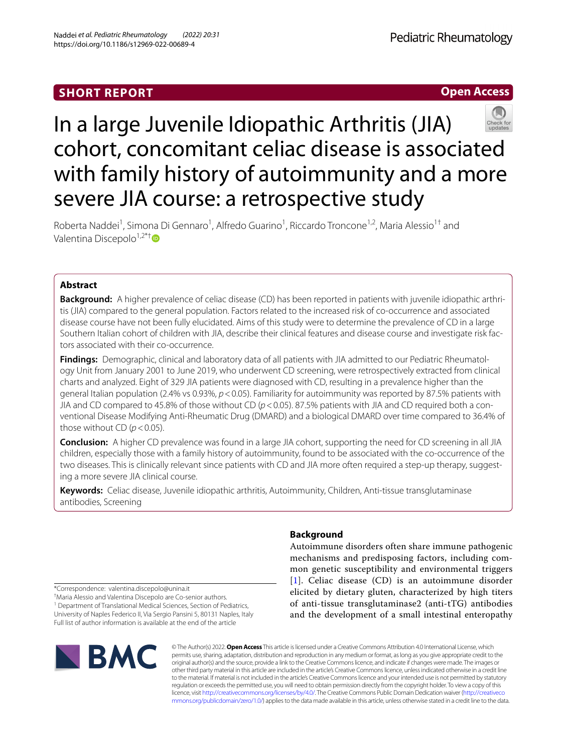# **Open Access**



# In a large Juvenile Idiopathic Arthritis (JIA) cohort, concomitant celiac disease is associated with family history of autoimmunity and a more severe JIA course: a retrospective study

Roberta Naddei<sup>1</sup>, Simona Di Gennaro<sup>1</sup>, Alfredo Guarino<sup>1</sup>, Riccardo Troncone<sup>1,2</sup>, Maria Alessio<sup>1†</sup> and Valentina Discepolo $1,2^*$ [†](http://orcid.org/0000-0001-6158-0545)

## **Abstract**

**Background:** A higher prevalence of celiac disease (CD) has been reported in patients with juvenile idiopathic arthritis (JIA) compared to the general population. Factors related to the increased risk of co-occurrence and associated disease course have not been fully elucidated. Aims of this study were to determine the prevalence of CD in a large Southern Italian cohort of children with JIA, describe their clinical features and disease course and investigate risk factors associated with their co-occurrence.

**Findings:** Demographic, clinical and laboratory data of all patients with JIA admitted to our Pediatric Rheumatology Unit from January 2001 to June 2019, who underwent CD screening, were retrospectively extracted from clinical charts and analyzed. Eight of 329 JIA patients were diagnosed with CD, resulting in a prevalence higher than the general Italian population (2.4% vs 0.93%, *p*<0.05). Familiarity for autoimmunity was reported by 87.5% patients with JIA and CD compared to 45.8% of those without CD ( $p$  < 0.05). 87.5% patients with JIA and CD required both a conventional Disease Modifying Anti-Rheumatic Drug (DMARD) and a biological DMARD over time compared to 36.4% of those without CD  $(p < 0.05)$ .

**Conclusion:** A higher CD prevalence was found in a large JIA cohort, supporting the need for CD screening in all JIA children, especially those with a family history of autoimmunity, found to be associated with the co-occurrence of the two diseases. This is clinically relevant since patients with CD and JIA more often required a step-up therapy, suggesting a more severe JIA clinical course.

**Keywords:** Celiac disease, Juvenile idiopathic arthritis, Autoimmunity, Children, Anti-tissue transglutaminase antibodies, Screening

\*Correspondence: valentina.discepolo@unina.it

† Maria Alessio and Valentina Discepolo are Co-senior authors.

<sup>1</sup> Department of Translational Medical Sciences, Section of Pediatrics, University of Naples Federico II, Via Sergio Pansini 5, 80131 Naples, Italy Full list of author information is available at the end of the article

# **BMC**

## **Background**

Autoimmune disorders often share immune pathogenic mechanisms and predisposing factors, including common genetic susceptibility and environmental triggers [[1](#page-6-0)]. Celiac disease (CD) is an autoimmune disorder elicited by dietary gluten, characterized by high titers of anti-tissue transglutaminase2 (anti-tTG) antibodies and the development of a small intestinal enteropathy

© The Author(s) 2022. **Open Access** This article is licensed under a Creative Commons Attribution 4.0 International License, which permits use, sharing, adaptation, distribution and reproduction in any medium or format, as long as you give appropriate credit to the original author(s) and the source, provide a link to the Creative Commons licence, and indicate if changes were made. The images or other third party material in this article are included in the article's Creative Commons licence, unless indicated otherwise in a credit line to the material. If material is not included in the article's Creative Commons licence and your intended use is not permitted by statutory regulation or exceeds the permitted use, you will need to obtain permission directly from the copyright holder. To view a copy of this licence, visit [http://creativecommons.org/licenses/by/4.0/.](http://creativecommons.org/licenses/by/4.0/) The Creative Commons Public Domain Dedication waiver ([http://creativeco](http://creativecommons.org/publicdomain/zero/1.0/) [mmons.org/publicdomain/zero/1.0/](http://creativecommons.org/publicdomain/zero/1.0/)) applies to the data made available in this article, unless otherwise stated in a credit line to the data.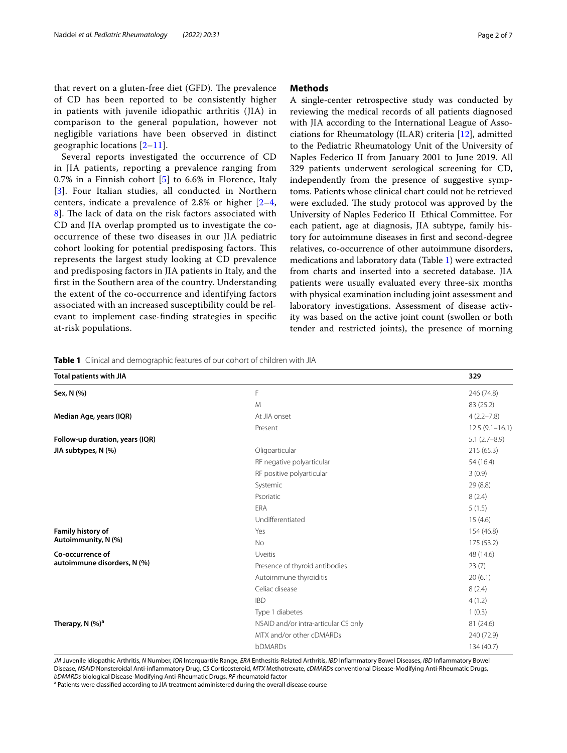Several reports investigated the occurrence of CD in JIA patients, reporting a prevalence ranging from 0.7% in a Finnish cohort [[5](#page-6-3)] to 6.6% in Florence, Italy [[3](#page-6-4)]. Four Italian studies, all conducted in Northern centers, indicate a prevalence of 2.8% or higher [[2](#page-6-1)[–4](#page-6-5), 8. The lack of data on the risk factors associated with CD and JIA overlap prompted us to investigate the cooccurrence of these two diseases in our JIA pediatric cohort looking for potential predisposing factors. This represents the largest study looking at CD prevalence and predisposing factors in JIA patients in Italy, and the frst in the Southern area of the country. Understanding the extent of the co-occurrence and identifying factors associated with an increased susceptibility could be relevant to implement case-fnding strategies in specifc at-risk populations.

#### **Methods**

A single-center retrospective study was conducted by reviewing the medical records of all patients diagnosed with JIA according to the International League of Associations for Rheumatology (ILAR) criteria [[12](#page-6-7)], admitted to the Pediatric Rheumatology Unit of the University of Naples Federico II from January 2001 to June 2019. All 329 patients underwent serological screening for CD, independently from the presence of suggestive symptoms. Patients whose clinical chart could not be retrieved were excluded. The study protocol was approved by the University of Naples Federico II Ethical Committee. For each patient, age at diagnosis, JIA subtype, family history for autoimmune diseases in frst and second-degree relatives, co-occurrence of other autoimmune disorders, medications and laboratory data (Table [1\)](#page-1-0) were extracted from charts and inserted into a secreted database. JIA patients were usually evaluated every three-six months with physical examination including joint assessment and laboratory investigations. Assessment of disease activity was based on the active joint count (swollen or both tender and restricted joints), the presence of morning

<span id="page-1-0"></span>**Table 1** Clinical and demographic features of our cohort of children with JIA

| <b>Total patients with JIA</b>  |                                      | 329              |
|---------------------------------|--------------------------------------|------------------|
| Sex, N (%)                      | F                                    | 246 (74.8)       |
|                                 | M                                    | 83 (25.2)        |
| Median Age, years (IQR)         | At JIA onset                         | $4(2.2 - 7.8)$   |
|                                 | Present                              | $12.5(9.1-16.1)$ |
| Follow-up duration, years (IQR) |                                      | $5.1(2.7-8.9)$   |
| JIA subtypes, N (%)             | Oligoarticular                       | 215(65.3)        |
|                                 | RF negative polyarticular            | 54 (16.4)        |
|                                 | RF positive polyarticular            | 3(0.9)           |
|                                 | Systemic                             | 29 (8.8)         |
|                                 | Psoriatic                            | 8(2.4)           |
|                                 | <b>FRA</b>                           | 5(1.5)           |
|                                 | Undifferentiated                     | 15(4.6)          |
| Family history of               | Yes                                  | 154 (46.8)       |
| Autoimmunity, N (%)             | <b>No</b>                            | 175 (53.2)       |
| Co-occurrence of                | Uveitis                              | 48 (14.6)        |
| autoimmune disorders, N (%)     | Presence of thyroid antibodies       | 23(7)            |
|                                 | Autoimmune thyroiditis               | 20(6.1)          |
|                                 | Celiac disease                       | 8(2.4)           |
|                                 | <b>IBD</b>                           | 4(1.2)           |
|                                 | Type 1 diabetes                      | 1(0.3)           |
| Therapy, $N$ (%) <sup>a</sup>   | NSAID and/or intra-articular CS only | 81 (24.6)        |
|                                 | MTX and/or other cDMARDs             | 240 (72.9)       |
|                                 | <b>bDMARDs</b>                       | 134 (40.7)       |
|                                 |                                      |                  |

*JIA* Juvenile Idiopathic Arthritis, *N* Number, *IQR* Interquartile Range, *ERA* Enthesitis-Related Arthritis, *IBD* Infammatory Bowel Diseases, *IBD* Infammatory Bowel Disease, *NSAID* Nonsteroidal Anti-infammatory Drug, *CS* Corticosteroid, *MTX* Methotrexate, *cDMARDs* conventional Disease-Modifying Anti-Rheumatic Drugs, *bDMARDs* biological Disease-Modifying Anti-Rheumatic Drugs, *RF* rheumatoid factor

<sup>a</sup> Patients were classified according to JIA treatment administered during the overall disease course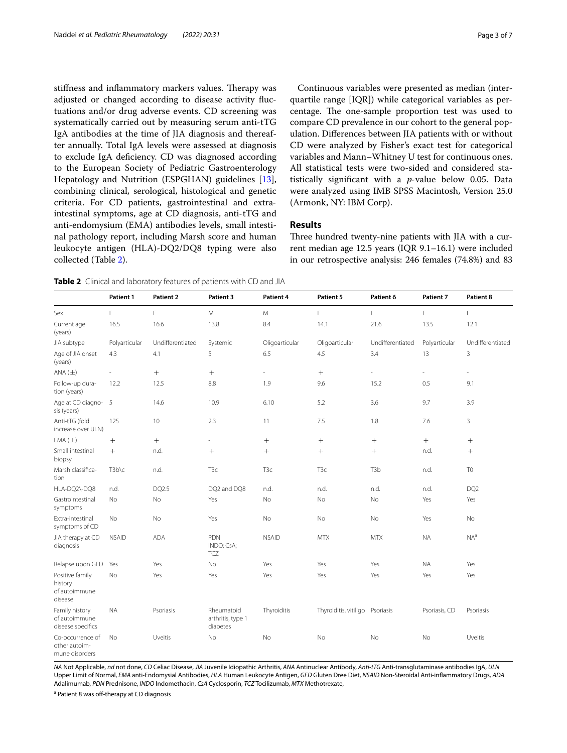stiffness and inflammatory markers values. Therapy was adjusted or changed according to disease activity fuctuations and/or drug adverse events. CD screening was systematically carried out by measuring serum anti-tTG IgA antibodies at the time of JIA diagnosis and thereafter annually. Total IgA levels were assessed at diagnosis to exclude IgA defciency. CD was diagnosed according to the European Society of Pediatric Gastroenterology Hepatology and Nutrition (ESPGHAN) guidelines [\[13](#page-6-8)], combining clinical, serological, histological and genetic criteria. For CD patients, gastrointestinal and extraintestinal symptoms, age at CD diagnosis, anti-tTG and anti-endomysium (EMA) antibodies levels, small intestinal pathology report, including Marsh score and human leukocyte antigen (HLA)-DQ2/DQ8 typing were also collected (Table [2\)](#page-2-0).

Continuous variables were presented as median (interquartile range [IQR]) while categorical variables as percentage. The one-sample proportion test was used to compare CD prevalence in our cohort to the general population. Diferences between JIA patients with or without CD were analyzed by Fisher's exact test for categorical variables and Mann–Whitney U test for continuous ones. All statistical tests were two-sided and considered statistically signifcant with a *p*-value below 0.05. Data were analyzed using IMB SPSS Macintosh, Version 25.0 (Armonk, NY: IBM Corp).

#### **Results**

Three hundred twenty-nine patients with JIA with a current median age 12.5 years (IQR 9.1–16.1) were included in our retrospective analysis: 246 females (74.8%) and 83

<span id="page-2-0"></span>**Table 2** Clinical and laboratory features of patients with CD and JIA

|                                                        | Patient 1     | Patient 2        | Patient 3                                   | Patient 4        | Patient 5                       | Patient 6        | Patient 7     | Patient 8                |
|--------------------------------------------------------|---------------|------------------|---------------------------------------------|------------------|---------------------------------|------------------|---------------|--------------------------|
| Sex                                                    | F             | F                | M                                           | M                | F                               | F                | F             | F                        |
| Current age<br>(years)                                 | 16.5          | 16.6             | 13.8                                        | 8.4              | 14.1                            | 21.6             | 13.5          | 12.1                     |
| JIA subtype                                            | Polyarticular | Undifferentiated | Systemic                                    | Oligoarticular   | Oligoarticular                  | Undifferentiated | Polyarticular | Undifferentiated         |
| Age of JIA onset<br>(years)                            | 4.3           | 4.1              | 5                                           | 6.5              | 4.5                             | 3.4              | 13            | 3                        |
| ANA(±)                                                 | $\sim$        | $+$              | $+$                                         | $\sim$           | $+$                             | L,               | ä,            | $\overline{\phantom{a}}$ |
| Follow-up dura-<br>tion (years)                        | 12.2          | 12.5             | 8.8                                         | 1.9              | 9.6                             | 15.2             | 0.5           | 9.1                      |
| Age at CD diagno- 5<br>sis (years)                     |               | 14.6             | 10.9                                        | 6.10             | 5.2                             | 3.6              | 9.7           | 3.9                      |
| Anti-tTG (fold<br>increase over ULN)                   | 125           | 10               | 2.3                                         | 11               | 7.5                             | 1.8              | 7.6           | $\overline{3}$           |
| $EMA (\pm)$                                            | $^{+}$        | $+$              | i.                                          | $^{+}$           | $^{+}$                          |                  | $^{+}$        | $^{+}$                   |
| Small intestinal<br>biopsy                             | $^{+}$        | n.d.             | $\boldsymbol{+}$                            | $^{+}$           | $^{+}$                          | $+$              | n.d.          | $+$                      |
| Marsh classifica-<br>tion                              | T3b\c         | n.d.             | T <sub>3</sub> c                            | T <sub>3</sub> c | T <sub>3</sub> c                | T <sub>3</sub> b | n.d.          | T <sub>0</sub>           |
| HLA-DQ2\-DQ8                                           | n.d.          | DQ2.5            | DQ2 and DQ8                                 | n.d.             | n.d.                            | n.d.             | n.d.          | DQ <sub>2</sub>          |
| Gastrointestinal<br>symptoms                           | <b>No</b>     | No               | Yes                                         | No               | No                              | No               | Yes           | Yes                      |
| Extra-intestinal<br>symptoms of CD                     | No            | No               | Yes                                         | No               | No                              | No               | Yes           | No                       |
| JIA therapy at CD<br>diagnosis                         | <b>NSAID</b>  | <b>ADA</b>       | PDN<br>INDO; CsA;<br>TCZ                    | <b>NSAID</b>     | <b>MTX</b>                      | <b>MTX</b>       | <b>NA</b>     | $NA^a$                   |
| Relapse upon GFD                                       | Yes           | Yes              | No                                          | Yes              | Yes                             | Yes              | <b>NA</b>     | Yes                      |
| Positive family<br>history<br>of autoimmune<br>disease | No            | Yes              | Yes                                         | Yes              | Yes                             | Yes              | Yes           | Yes                      |
| Family history<br>of autoimmune<br>disease specifics   | <b>NA</b>     | Psoriasis        | Rheumatoid<br>arthritis, type 1<br>diabetes | Thyroiditis      | Thyroiditis, vitiligo Psoriasis |                  | Psoriasis, CD | Psoriasis                |
| Co-occurrence of<br>other autoim-<br>mune disorders    | No            | Uveitis          | No                                          | No               | No                              | No               | No            | Uveitis                  |

*NA* Not Applicable, *nd* not done, *CD* Celiac Disease, *JIA* Juvenile Idiopathic Arthritis, *ANA* Antinuclear Antibody, *Anti-tTG* Anti-transglutaminase antibodies IgA, *ULN* Upper Limit of Normal, *EMA* anti-Endomysial Antibodies, *HLA* Human Leukocyte Antigen, *GFD* Gluten Dree Diet, *NSAID* Non-Steroidal Anti-infammatory Drugs, *ADA* Adalimumab, *PDN* Prednisone, *INDO* Indomethacin, *CsA* Cyclosporin, *TCZ* Tocilizumab, *MTX* Methotrexate,

<sup>a</sup> Patient 8 was off-therapy at CD diagnosis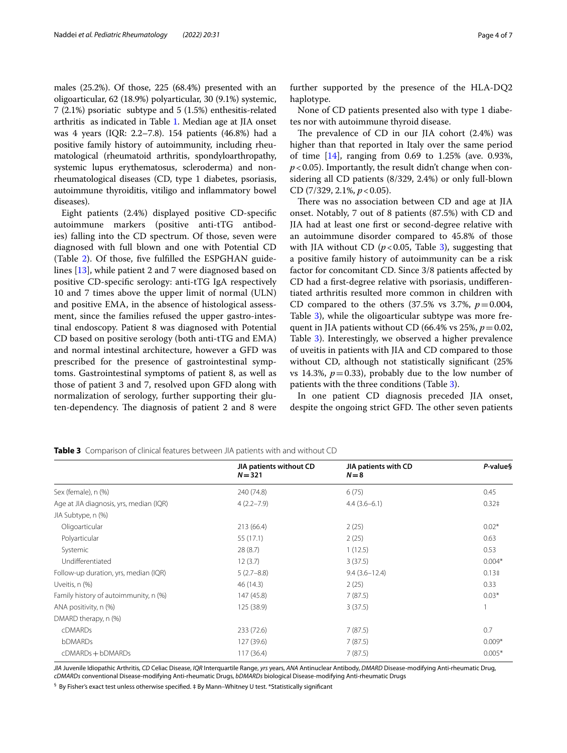males (25.2%). Of those, 225 (68.4%) presented with an oligoarticular, 62 (18.9%) polyarticular, 30 (9.1%) systemic, 7 (2.1%) psoriatic subtype and 5 (1.5%) enthesitis-related arthritis as indicated in Table [1.](#page-1-0) Median age at JIA onset was 4 years (IQR: 2.2–7.8). 154 patients (46.8%) had a positive family history of autoimmunity, including rheumatological (rheumatoid arthritis, spondyloarthropathy, systemic lupus erythematosus, scleroderma) and nonrheumatological diseases (CD, type 1 diabetes, psoriasis, autoimmune thyroiditis, vitiligo and infammatory bowel diseases).

Eight patients (2.4%) displayed positive CD-specifc autoimmune markers (positive anti-tTG antibodies) falling into the CD spectrum. Of those, seven were diagnosed with full blown and one with Potential CD (Table [2](#page-2-0)). Of those, fve fulflled the ESPGHAN guidelines [\[13](#page-6-8)], while patient 2 and 7 were diagnosed based on positive CD-specifc serology: anti-tTG IgA respectively 10 and 7 times above the upper limit of normal (ULN) and positive EMA, in the absence of histological assessment, since the families refused the upper gastro-intestinal endoscopy. Patient 8 was diagnosed with Potential CD based on positive serology (both anti-tTG and EMA) and normal intestinal architecture, however a GFD was prescribed for the presence of gastrointestinal symptoms. Gastrointestinal symptoms of patient 8, as well as those of patient 3 and 7, resolved upon GFD along with normalization of serology, further supporting their gluten-dependency. The diagnosis of patient 2 and 8 were further supported by the presence of the HLA-DQ2 haplotype.

None of CD patients presented also with type 1 diabetes nor with autoimmune thyroid disease.

The prevalence of CD in our JIA cohort (2.4%) was higher than that reported in Italy over the same period of time [\[14](#page-6-9)], ranging from 0.69 to 1.25% (ave. 0.93%,  $p < 0.05$ ). Importantly, the result didn't change when considering all CD patients (8/329, 2.4%) or only full-blown CD (7/329, 2.1%, *p*<0.05).

There was no association between CD and age at JIA onset. Notably, 7 out of 8 patients (87.5%) with CD and JIA had at least one frst or second-degree relative with an autoimmune disorder compared to 45.8% of those with JIA without CD  $(p<0.05$ , Table [3\)](#page-3-0), suggesting that a positive family history of autoimmunity can be a risk factor for concomitant CD. Since 3/8 patients afected by CD had a frst-degree relative with psoriasis, undiferentiated arthritis resulted more common in children with CD compared to the others  $(37.5\% \text{ vs } 3.7\%, p=0.004,$ Table [3](#page-3-0)), while the oligoarticular subtype was more frequent in JIA patients without CD (66.4% vs 25%,  $p = 0.02$ , Table [3](#page-3-0)). Interestingly, we observed a higher prevalence of uveitis in patients with JIA and CD compared to those without CD, although not statistically signifcant (25% vs 14.3%,  $p=0.33$ ), probably due to the low number of patients with the three conditions (Table [3](#page-3-0)).

In one patient CD diagnosis preceded JIA onset, despite the ongoing strict GFD. The other seven patients

|                                         | JIA patients without CD | JIA patients with CD | P-value§      |
|-----------------------------------------|-------------------------|----------------------|---------------|
|                                         | $N = 321$               | $N=8$                |               |
| Sex (female), n (%)                     | 240 (74.8)              | 6(75)                | 0.45          |
| Age at JIA diagnosis, yrs, median (IQR) | $4(2.2 - 7.9)$          | $4.4(3.6-6.1)$       | $0.32\dagger$ |
| JIA Subtype, n (%)                      |                         |                      |               |
| Oligoarticular                          | 213 (66.4)              | 2(25)                | $0.02*$       |
| Polyarticular                           | 55 (17.1)               | 2(25)                | 0.63          |
| Systemic                                | 28(8.7)                 | 1(12.5)              | 0.53          |
| Undifferentiated                        | 12(3.7)                 | 3(37.5)              | $0.004*$      |
| Follow-up duration, yrs, median (IQR)   | $5(2.7-8.8)$            | $9.4(3.6 - 12.4)$    | $0.13\dagger$ |
| Uveitis, n (%)                          | 46 (14.3)               | 2(25)                | 0.33          |
| Family history of autoimmunity, n (%)   | 147 (45.8)              | 7(87.5)              | $0.03*$       |
| ANA positivity, n (%)                   | 125 (38.9)              | 3(37.5)              |               |
| DMARD therapy, n (%)                    |                         |                      |               |
| <b>cDMARDs</b>                          | 233 (72.6)              | 7(87.5)              | 0.7           |
| <b>bDMARDs</b>                          | 127 (39.6)              | 7(87.5)              | $0.009*$      |
| cDMARDs + bDMARDs                       | 117(36.4)               | 7(87.5)              | $0.005*$      |
|                                         |                         |                      |               |

<span id="page-3-0"></span>**Table 3** Comparison of clinical features between JIA patients with and without CD

*JIA* Juvenile Idiopathic Arthritis, *CD* Celiac Disease, *IQR* Interquartile Range, *yrs* years, *ANA* Antinuclear Antibody, *DMARD* Disease-modifying Anti-rheumatic Drug, *cDMARDs* conventional Disease-modifying Anti-rheumatic Drugs, *bDMARDs* biological Disease-modifying Anti-rheumatic Drugs

 $^\mathsf{\$}$  By Fisher's exact test unless otherwise specified. ‡ By Mann–Whitney U test. \*Statistically significant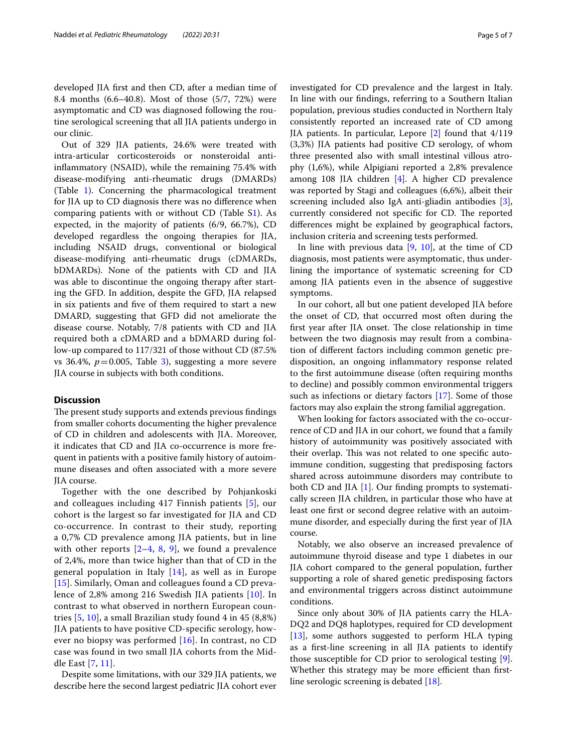developed JIA frst and then CD, after a median time of 8.4 months (6.6–40.8). Most of those (5/7, 72%) were asymptomatic and CD was diagnosed following the routine serological screening that all JIA patients undergo in our clinic.

Out of 329 JIA patients, 24.6% were treated with intra-articular corticosteroids or nonsteroidal antiinfammatory (NSAID), while the remaining 75.4% with disease-modifying anti-rheumatic drugs (DMARDs) (Table [1\)](#page-1-0). Concerning the pharmacological treatment for JIA up to CD diagnosis there was no diference when comparing patients with or without CD (Table [S1](#page-5-0)). As expected, in the majority of patients (6/9, 66.7%), CD developed regardless the ongoing therapies for JIA, including NSAID drugs, conventional or biological disease-modifying anti-rheumatic drugs (cDMARDs, bDMARDs). None of the patients with CD and JIA was able to discontinue the ongoing therapy after starting the GFD. In addition, despite the GFD, JIA relapsed in six patients and fve of them required to start a new DMARD, suggesting that GFD did not ameliorate the disease course. Notably, 7/8 patients with CD and JIA required both a cDMARD and a bDMARD during follow-up compared to 117/321 of those without CD (87.5% vs [3](#page-3-0)6.4%,  $p = 0.005$ , Table 3), suggesting a more severe JIA course in subjects with both conditions.

#### **Discussion**

The present study supports and extends previous findings from smaller cohorts documenting the higher prevalence of CD in children and adolescents with JIA. Moreover, it indicates that CD and JIA co-occurrence is more frequent in patients with a positive family history of autoimmune diseases and often associated with a more severe JIA course.

Together with the one described by Pohjankoski and colleagues including 417 Finnish patients [[5\]](#page-6-3), our cohort is the largest so far investigated for JIA and CD co-occurrence. In contrast to their study, reporting a 0,7% CD prevalence among JIA patients, but in line with other reports  $[2-4, 8, 9]$  $[2-4, 8, 9]$  $[2-4, 8, 9]$  $[2-4, 8, 9]$  $[2-4, 8, 9]$  $[2-4, 8, 9]$  $[2-4, 8, 9]$  $[2-4, 8, 9]$ , we found a prevalence of 2,4%, more than twice higher than that of CD in the general population in Italy [[14\]](#page-6-9), as well as in Europe [[15](#page-6-11)]. Similarly, Oman and colleagues found a CD prevalence of 2,8% among 216 Swedish JIA patients [[10\]](#page-6-12). In contrast to what observed in northern European countries [\[5](#page-6-3), [10](#page-6-12)], a small Brazilian study found 4 in 45 (8,8%) JIA patients to have positive CD-specifc serology, however no biopsy was performed  $[16]$  $[16]$ . In contrast, no CD case was found in two small JIA cohorts from the Middle East [\[7,](#page-6-14) [11](#page-6-2)].

Despite some limitations, with our 329 JIA patients, we describe here the second largest pediatric JIA cohort ever investigated for CD prevalence and the largest in Italy. In line with our fndings, referring to a Southern Italian population, previous studies conducted in Northern Italy consistently reported an increased rate of CD among JIA patients. In particular, Lepore [\[2](#page-6-1)] found that 4/119 (3,3%) JIA patients had positive CD serology, of whom three presented also with small intestinal villous atrophy (1,6%), while Alpigiani reported a 2,8% prevalence among 108 JIA children [\[4](#page-6-5)]. A higher CD prevalence was reported by Stagi and colleagues (6,6%), albeit their screening included also IgA anti-gliadin antibodies [\[3](#page-6-4)], currently considered not specific for CD. The reported diferences might be explained by geographical factors, inclusion criteria and screening tests performed.

In line with previous data  $[9, 10]$  $[9, 10]$  $[9, 10]$  $[9, 10]$ , at the time of CD diagnosis, most patients were asymptomatic, thus underlining the importance of systematic screening for CD among JIA patients even in the absence of suggestive symptoms.

In our cohort, all but one patient developed JIA before the onset of CD, that occurred most often during the first year after JIA onset. The close relationship in time between the two diagnosis may result from a combination of diferent factors including common genetic predisposition, an ongoing infammatory response related to the frst autoimmune disease (often requiring months to decline) and possibly common environmental triggers such as infections or dietary factors [\[17](#page-6-15)]. Some of those factors may also explain the strong familial aggregation.

When looking for factors associated with the co-occurrence of CD and JIA in our cohort, we found that a family history of autoimmunity was positively associated with their overlap. This was not related to one specific autoimmune condition, suggesting that predisposing factors shared across autoimmune disorders may contribute to both CD and JIA [\[1](#page-6-0)]. Our fnding prompts to systematically screen JIA children, in particular those who have at least one frst or second degree relative with an autoimmune disorder, and especially during the frst year of JIA course.

Notably, we also observe an increased prevalence of autoimmune thyroid disease and type 1 diabetes in our JIA cohort compared to the general population, further supporting a role of shared genetic predisposing factors and environmental triggers across distinct autoimmune conditions.

Since only about 30% of JIA patients carry the HLA-DQ2 and DQ8 haplotypes, required for CD development [[13\]](#page-6-8), some authors suggested to perform HLA typing as a frst-line screening in all JIA patients to identify those susceptible for CD prior to serological testing [\[9](#page-6-10)]. Whether this strategy may be more efficient than firstline serologic screening is debated [\[18](#page-6-16)].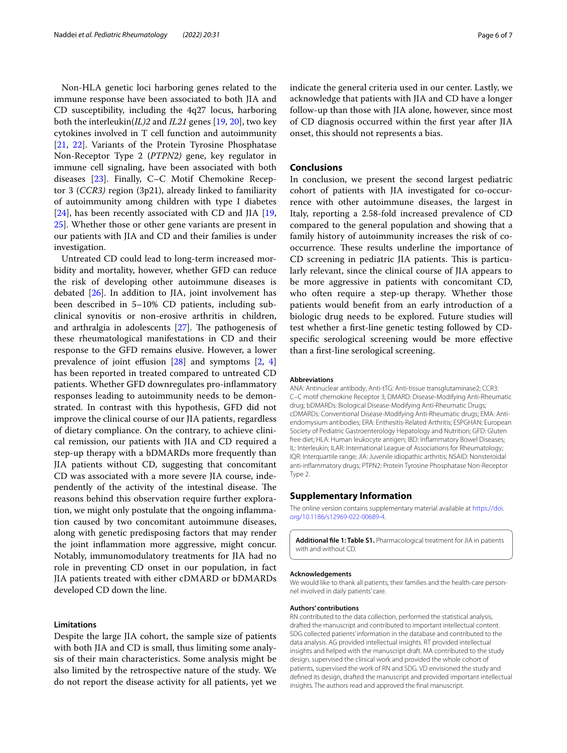Non-HLA genetic loci harboring genes related to the immune response have been associated to both JIA and CD susceptibility, including the 4q27 locus, harboring both the interleukin(*IL)2* and *IL21* genes [\[19,](#page-6-17) [20](#page-6-18)], two key cytokines involved in T cell function and autoimmunity [[21,](#page-6-19) [22](#page-6-20)]. Variants of the Protein Tyrosine Phosphatase Non-Receptor Type 2 (*PTPN2)* gene, key regulator in immune cell signaling, have been associated with both diseases [[23\]](#page-6-21). Finally, C–C Motif Chemokine Receptor 3 (*CCR3)* region (3p21), already linked to familiarity of autoimmunity among children with type I diabetes [[24\]](#page-6-22), has been recently associated with CD and JIA [\[19](#page-6-17), [25\]](#page-6-23). Whether those or other gene variants are present in our patients with JIA and CD and their families is under investigation.

Untreated CD could lead to long-term increased morbidity and mortality, however, whether GFD can reduce the risk of developing other autoimmune diseases is debated [\[26](#page-6-24)]. In addition to JIA, joint involvement has been described in 5–10% CD patients, including subclinical synovitis or non-erosive arthritis in children, and arthralgia in adolescents  $[27]$  $[27]$  $[27]$ . The pathogenesis of these rheumatological manifestations in CD and their response to the GFD remains elusive. However, a lower prevalence of joint effusion  $[28]$  $[28]$  $[28]$  and symptoms  $[2, 4]$  $[2, 4]$  $[2, 4]$  $[2, 4]$  $[2, 4]$ has been reported in treated compared to untreated CD patients. Whether GFD downregulates pro-infammatory responses leading to autoimmunity needs to be demonstrated. In contrast with this hypothesis, GFD did not improve the clinical course of our JIA patients, regardless of dietary compliance. On the contrary, to achieve clinical remission, our patients with JIA and CD required a step-up therapy with a bDMARDs more frequently than JIA patients without CD, suggesting that concomitant CD was associated with a more severe JIA course, independently of the activity of the intestinal disease. The reasons behind this observation require further exploration, we might only postulate that the ongoing infammation caused by two concomitant autoimmune diseases, along with genetic predisposing factors that may render the joint infammation more aggressive, might concur. Notably, immunomodulatory treatments for JIA had no role in preventing CD onset in our population, in fact JIA patients treated with either cDMARD or bDMARDs developed CD down the line.

#### **Limitations**

Despite the large JIA cohort, the sample size of patients with both JIA and CD is small, thus limiting some analysis of their main characteristics. Some analysis might be also limited by the retrospective nature of the study. We do not report the disease activity for all patients, yet we indicate the general criteria used in our center. Lastly, we acknowledge that patients with JIA and CD have a longer follow-up than those with JIA alone, however, since most of CD diagnosis occurred within the frst year after JIA onset, this should not represents a bias.

#### **Conclusions**

In conclusion, we present the second largest pediatric cohort of patients with JIA investigated for co-occurrence with other autoimmune diseases, the largest in Italy, reporting a 2.58-fold increased prevalence of CD compared to the general population and showing that a family history of autoimmunity increases the risk of cooccurrence. These results underline the importance of CD screening in pediatric JIA patients. This is particularly relevant, since the clinical course of JIA appears to be more aggressive in patients with concomitant CD, who often require a step-up therapy. Whether those patients would beneft from an early introduction of a biologic drug needs to be explored. Future studies will test whether a frst-line genetic testing followed by CDspecifc serological screening would be more efective than a frst-line serological screening.

#### **Abbreviations**

ANA: Antinuclear antibody; Anti-tTG: Anti-tissue transglutaminase2; CCR3: C–C motif chemokine Receptor 3; DMARD: Disease-Modifying Anti-Rheumatic drug; bDMARDs: Biological Disease-Modifying Anti-Rheumatic Drugs; cDMARDs: Conventional Disease-Modifying Anti-Rheumatic drugs; EMA: Antiendomysium antibodies; ERA: Enthesitis-Related Arthritis; ESPGHAN: European Society of Pediatric Gastroenterology Hepatology and Nutrition; GFD: Gluten free diet; HLA: Human leukocyte antigen; IBD: Infammatory Bowel Diseases; IL: Interleukin; ILAR: International League of Associations for Rheumatology; IQR: Interquartile range; JIA: Juvenile idiopathic arthritis; NSAID: Nonsteroidal anti-infammatory drugs; PTPN2: Protein Tyrosine Phosphatase Non-Receptor Type 2.

#### **Supplementary Information**

The online version contains supplementary material available at [https://doi.](https://doi.org/10.1186/s12969-022-00689-4) [org/10.1186/s12969-022-00689-4](https://doi.org/10.1186/s12969-022-00689-4).

<span id="page-5-0"></span>**Additional fle 1: Table S1.** Pharmacological treatment for JIA in patients with and without CD.

#### **Acknowledgements**

We would like to thank all patients, their families and the health-care personnel involved in daily patients' care.

#### **Authors' contributions**

RN contributed to the data collection, performed the statistical analysis, drafted the manuscript and contributed to important intellectual content. SDG collected patients' information in the database and contributed to the data analysis. AG provided intellectual insights. RT provided intellectual insights and helped with the manuscript draft. MA contributed to the study design, supervised the clinical work and provided the whole cohort of patients, supervised the work of RN and SDG. VD envisioned the study and defned its design, drafted the manuscript and provided important intellectual insights. The authors read and approved the fnal manuscript.